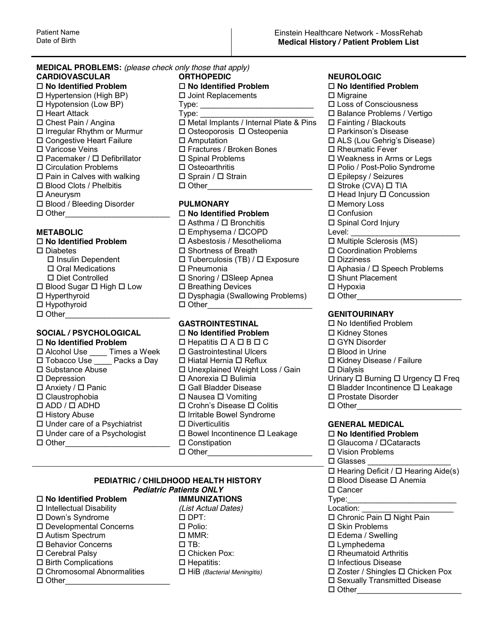### **MEDICAL PROBLEMS:** *(please check only those that apply)* **CARDIOVASCULAR ORTHOPEDIC NEUROLOGIC No Identified Problem No Identified Problem No Identified Problem**

 Hypotension (Low BP) Type: \_\_\_\_\_\_\_\_\_\_\_\_\_\_\_\_\_\_\_\_\_\_\_\_\_\_ Loss of Consciousness **D** Blood / Bleeding Disorder **PULMONARY D Memory Loss**<br> **D No Identified Problem M D** Confusion

- Hypothyroid Other\_\_\_\_\_\_\_\_\_\_\_\_\_\_\_\_\_\_\_\_\_\_\_\_
- 

 Alcohol Use \_\_\_\_ Times a Week Gastrointestinal Ulcers Blood in Urine Tobacco Use \_\_\_\_ Packs a Day Hiatal Hernia Reflux Kidney Disease / Failure Substance Abuse Unexplained Weight Loss / Gain Dialysis Anxiety / Panic Gall Bladder Disease Bladder Incontinence Leakage Claustrophobia Nausea Vomiting Prostate Disorder □ History Abuse **Internal Syndrome Internal Syndrome**  Under care of a Psychiatrist Diverticulitis **GENERAL MEDICAL** Other\_\_\_\_\_\_\_\_\_\_\_\_\_\_\_\_\_\_\_\_\_\_\_\_ Constipation Glaucoma / Cataracts

# D Hypertension (High BP) D Joint Replacements D Migraine <br>
D Hypotension (Low BP) Type: D Loss of Consciousness Heart Attack Type: \_\_\_\_\_\_\_\_\_\_\_\_\_\_\_\_\_\_\_\_\_\_\_\_\_\_ Balance Problems / Vertigo  $\square$  Metal Implants / Internal Plate & Pins  $\square$  Irregular Rhythm or Murmur  $\square$  Osteoporosis  $\square$  Osteopenia  $\square$  Parkinson's Disease Congestive Heart Failure Amputation \$/6/RX\*HKULJ¶V'LVHDVH Varicose Veins Fractures / Broken Bones Rheumatic Fever  $\Box$  Pacemaker /  $\Box$  Defibrillator  $\Box$  Spinal Problems  $\Box$  Weakness in Arms or Legs Circulation Problems Osteoarthritis Polio / Post-Polio Syndrome  $\Box$  Pain in Calves with walking  $\Box$  Sprain /  $\Box$  Strain  $\Box$  Epilepsy / Seizures Blood Clots / Phelbitis Other\_\_\_\_\_\_\_\_\_\_\_\_\_\_\_\_\_\_\_\_\_\_\_\_ Stroke (CVA) TIA

 Other\_\_\_\_\_\_\_\_\_\_\_\_\_\_\_\_\_\_\_\_\_\_\_\_ **No Identified Problem** Confusion  $\Box$  Asthma /  $\Box$  Bronchitis **METABOLIC** Emphysema / COPD Level: \_\_\_\_\_\_\_\_\_\_\_\_\_\_\_\_\_\_\_\_\_\_\_\_\_ □ **No Identified Problem** D Asbestosis / Mesothelioma Diabetes Shortness of Breath Coordination Problems  $\Box$  Insulin Dependent  $\Box$  Tuberculosis (TB) /  $\Box$  Exposure  $\Box$  Dizziness Oral Medications Pneumonia Aphasia / Speech Problems Diet Controlled Snoring / Sleep Apnea Shunt Placement  $\Box$  Blood Sugar  $\Box$  High  $\Box$  Low  $\Box$  Breathing Devices  $\Box$  Hypoxia □ Hyperthyroid □ Dysphagia (Swallowing Problems) □ Other\_\_\_\_\_\_\_\_\_\_\_\_\_\_\_\_\_\_\_\_\_\_\_

- **SOCIAL / PSYCHOLOGICAL DIMO Identified Problem DIMO IN A NOTE DIMOGICAL No Identified Problem NOTE No Identified Problem** 
<br> **D** Alcohol Use 
I Castrointestinal Ulcers 
<br> **D** Alcohol Use 
I Castrointestinal Ulcers **D** Blood in Urine  $\square$  Crohn's Disease  $\square$  Colitis **□ Bowel Incontinence □ Leakage □ No Identified Problem**<br>□ Glaucoma / □ Cataracts
	-

## **PEDIATRIC / CHILDHOOD HEALTH HISTORY Blood Disease I Anemia Pediatric Patients ONLY Cancer**

- □ Intellectual Disability *(List Actual Dates)*
- 
- 
- $\square$  Autism Spectrum  $\square$  MMR:
- 
- 
- 
- 
- 
- **No Identified Problem IMMUNIZATIONS** Type:\_\_\_\_\_\_\_\_\_\_\_\_\_\_\_\_\_\_\_\_\_\_\_\_\_ Developmental Concerns Polio: Skin Problems Behavior Concerns TB: Lymphedema
	-

□ Aneurysm Service Service Service Service Service Service Service Service Service Service Service Service Service Service Service Service Service Service Service Service Service Service Service Service Service Service Se

## Other\_\_\_\_\_\_\_\_\_\_\_\_\_\_\_\_\_\_\_\_\_\_\_\_ **GENITOURINARY**

**GASTROINTESTINAL** No Identified Problem Urinary  $\Box$  Burning  $\Box$  Urgency  $\Box$  Freq

 $\square$  Vision Problems  $\Box$  Glasses  $\Box$  Hearing Deficit /  $\Box$  Hearing Aide(s) 'RZQ¶V6\QGURPH DPT: Chronic Pain Night Pain Cerebral Palsy Chicken Pox: Rheumatoid Arthritis Birth Complications Hepatitis: Infectious Disease □ HiB *(Bacterial Meningitis)* □ Zoster / Shingles □ Chicken Pox Other\_\_\_\_\_\_\_\_\_\_\_\_\_\_\_\_\_\_\_\_\_\_\_\_ Sexually Transmitted Disease  $\Box$  Other